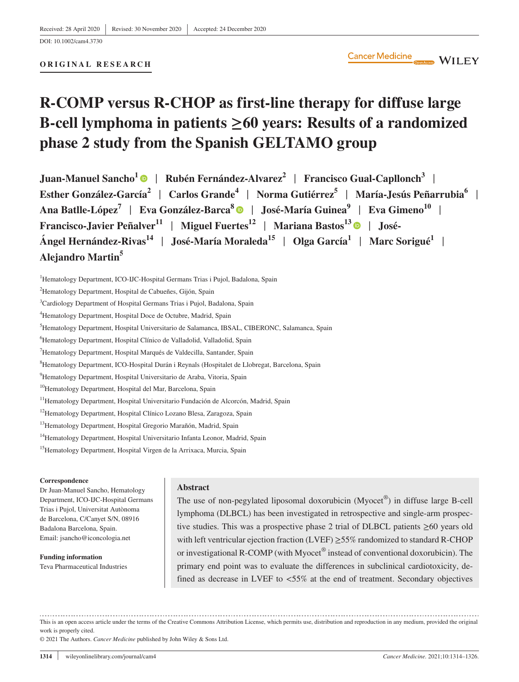# **R-COMP versus R-CHOP as first-line therapy for diffuse large B-cell lymphoma in patients ≥60 years: Results of a randomized phase 2 study from the Spanish GELTAMO group**

**Juan-Manuel Sancho1** | **Rubén Fernández-Alvarez2** | **Francisco Gual-Capllonch<sup>3</sup>** | **Esther González-García<sup>2</sup>** | **Carlos Grande4** | **Norma Gutiérrez5** | **María-Jesús Peñarrubia6** | Ana Batlle-López<sup>7</sup> | Eva González-Barca<sup>8</sup> | José-María Guinea<sup>9</sup> | Eva Gimeno<sup>10</sup> | **Francisco-Javier Peñalver**<sup>11</sup> | Miguel Fuertes<sup>12</sup> | Mariana Bastos<sup>1[3](https://orcid.org/0000-0002-9431-4646)</sup> | José-**Ángel Hernández-Rivas<sup>14</sup>** | **José-María Moraleda15** | **Olga García1** | **Marc Sorigué<sup>1</sup>** | **Alejandro Martin<sup>5</sup>**

<sup>1</sup>Hematology Department, ICO-IJC-Hospital Germans Trias i Pujol, Badalona, Spain

<sup>10</sup>Hematology Department, Hospital del Mar, Barcelona, Spain

<sup>11</sup>Hematology Department, Hospital Universitario Fundación de Alcorcón, Madrid, Spain

- <sup>12</sup>Hematology Department, Hospital Clínico Lozano Blesa, Zaragoza, Spain
- <sup>13</sup> Hematology Department, Hospital Gregorio Marañón, Madrid, Spain
- <sup>14</sup>Hematology Department, Hospital Universitario Infanta Leonor, Madrid, Spain
- <sup>15</sup>Hematology Department, Hospital Virgen de la Arrixaca, Murcia, Spain

#### **Correspondence**

Dr Juan-Manuel Sancho, Hematology Department, ICO-IJC-Hospital Germans Trias i Pujol, Universitat Autònoma de Barcelona, C/Canyet S/N, 08916 Badalona Barcelona, Spain. Email: [jsancho@iconcologia.net](mailto:jsancho@iconcologia.net)

**Funding information** Teva Pharmaceutical Industries

## **Abstract**

The use of non-pegylated liposomal doxorubicin (Myocet®) in diffuse large B-cell lymphoma (DLBCL) has been investigated in retrospective and single-arm prospective studies. This was a prospective phase 2 trial of DLBCL patients ≥60 years old with left ventricular ejection fraction (LVEF) ≥55% randomized to standard R-CHOP or investigational R-COMP (with Myocet® instead of conventional doxorubicin). The primary end point was to evaluate the differences in subclinical cardiotoxicity, defined as decrease in LVEF to <55% at the end of treatment. Secondary objectives

This is an open access article under the terms of the [Creative Commons Attribution](http://creativecommons.org/licenses/by/4.0/) License, which permits use, distribution and reproduction in any medium, provided the original work is properly cited.

© 2021 The Authors. *Cancer Medicine* published by John Wiley & Sons Ltd.

<sup>&</sup>lt;sup>2</sup>Hematology Department, Hospital de Cabueñes, Gijón, Spain

<sup>3</sup> Cardiology Department of Hospital Germans Trias i Pujol, Badalona, Spain

<sup>4</sup> Hematology Department, Hospital Doce de Octubre, Madrid, Spain

<sup>5</sup> Hematology Department, Hospital Universitario de Salamanca, IBSAL, CIBERONC, Salamanca, Spain

<sup>6</sup> Hematology Department, Hospital Clínico de Valladolid, Valladolid, Spain

<sup>&</sup>lt;sup>7</sup>Hematology Department, Hospital Marqués de Valdecilla, Santander, Spain

<sup>8</sup> Hematology Department, ICO-Hospital Durán i Reynals (Hospitalet de Llobregat, Barcelona, Spain

<sup>9</sup> Hematology Department, Hospital Universitario de Araba, Vitoria, Spain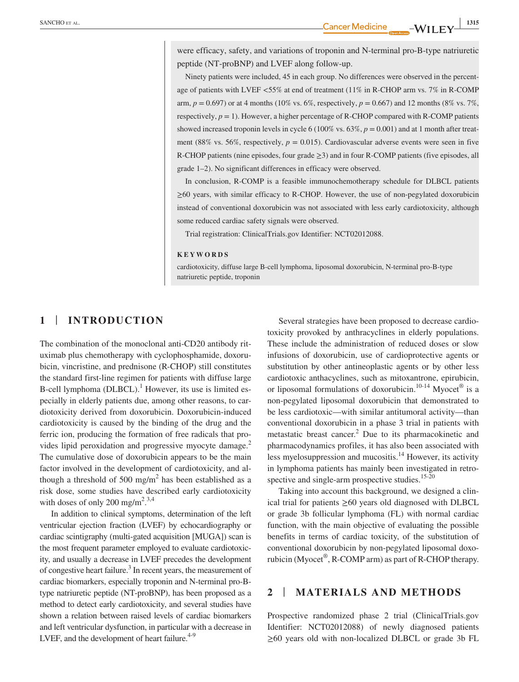were efficacy, safety, and variations of troponin and N-terminal pro-B-type natriuretic peptide (NT-proBNP) and LVEF along follow-up.

Ninety patients were included, 45 in each group. No differences were observed in the percentage of patients with LVEF <55% at end of treatment (11% in R-CHOP arm vs. 7% in R-COMP arm,  $p = 0.697$ ) or at 4 months (10% vs. 6%, respectively,  $p = 0.667$ ) and 12 months (8% vs. 7%, respectively,  $p = 1$ ). However, a higher percentage of R-CHOP compared with R-COMP patients showed increased troponin levels in cycle 6 (100% vs. 63%, *p* = 0.001) and at 1 month after treatment (88% vs. 56%, respectively,  $p = 0.015$ ). Cardiovascular adverse events were seen in five R-CHOP patients (nine episodes, four grade ≥3) and in four R-COMP patients (five episodes, all grade 1–2). No significant differences in efficacy were observed.

In conclusion, R-COMP is a feasible immunochemotherapy schedule for DLBCL patients ≥60 years, with similar efficacy to R-CHOP. However, the use of non-pegylated doxorubicin instead of conventional doxorubicin was not associated with less early cardiotoxicity, although some reduced cardiac safety signals were observed.

Trial registration: ClinicalTrials.gov Identifier: NCT02012088.

#### **KEYWORDS**

cardiotoxicity, diffuse large B-cell lymphoma, liposomal doxorubicin, N-terminal pro-B-type natriuretic peptide, troponin

# **1** | **INTRODUCTION**

The combination of the monoclonal anti-CD20 antibody rituximab plus chemotherapy with cyclophosphamide, doxorubicin, vincristine, and prednisone (R-CHOP) still constitutes the standard first-line regimen for patients with diffuse large B-cell lymphoma (DLBCL).<sup>1</sup> However, its use is limited especially in elderly patients due, among other reasons, to cardiotoxicity derived from doxorubicin. Doxorubicin-induced cardiotoxicity is caused by the binding of the drug and the ferric ion, producing the formation of free radicals that provides lipid peroxidation and progressive myocyte damage.<sup>2</sup> The cumulative dose of doxorubicin appears to be the main factor involved in the development of cardiotoxicity, and although a threshold of  $500 \text{ mg/m}^2$  has been established as a risk dose, some studies have described early cardiotoxicity with doses of only 200 mg/m<sup>2,3,4</sup>

In addition to clinical symptoms, determination of the left ventricular ejection fraction (LVEF) by echocardiography or cardiac scintigraphy (multi-gated acquisition [MUGA]) scan is the most frequent parameter employed to evaluate cardiotoxicity, and usually a decrease in LVEF precedes the development of congestive heart failure.<sup>3</sup> In recent years, the measurement of cardiac biomarkers, especially troponin and N-terminal pro-Btype natriuretic peptide (NT-proBNP), has been proposed as a method to detect early cardiotoxicity, and several studies have shown a relation between raised levels of cardiac biomarkers and left ventricular dysfunction, in particular with a decrease in LVEF, and the development of heart failure. $4-9$ 

Several strategies have been proposed to decrease cardiotoxicity provoked by anthracyclines in elderly populations. These include the administration of reduced doses or slow infusions of doxorubicin, use of cardioprotective agents or substitution by other antineoplastic agents or by other less cardiotoxic anthacyclines, such as mitoxantrone, epirubicin, or liposomal formulations of doxorubicin.<sup>10-14</sup> Myocet<sup>®</sup> is a non-pegylated liposomal doxorubicin that demonstrated to be less cardiotoxic—with similar antitumoral activity—than conventional doxorubicin in a phase 3 trial in patients with metastatic breast cancer.<sup>2</sup> Due to its pharmacokinetic and pharmacodynamics profiles, it has also been associated with less myelosuppression and mucositis.<sup>14</sup> However, its activity in lymphoma patients has mainly been investigated in retrospective and single-arm prospective studies.<sup>15-20</sup>

Taking into account this background, we designed a clinical trial for patients ≥60 years old diagnosed with DLBCL or grade 3b follicular lymphoma (FL) with normal cardiac function, with the main objective of evaluating the possible benefits in terms of cardiac toxicity, of the substitution of conventional doxorubicin by non-pegylated liposomal doxorubicin (Myocet<sup>®</sup>, R-COMP arm) as part of R-CHOP therapy.

## **2** | **MATERIALS AND METHODS**

Prospective randomized phase 2 trial (ClinicalTrials.gov Identifier: NCT02012088) of newly diagnosed patients  $\geq 60$  years old with non-localized DLBCL or grade 3b FL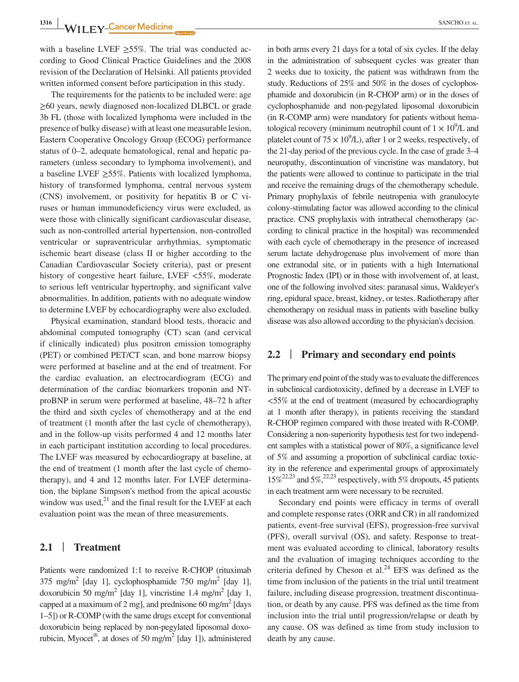with a baseline LVEF  $\geq$ 55%. The trial was conducted according to Good Clinical Practice Guidelines and the 2008 revision of the Declaration of Helsinki. All patients provided written informed consent before participation in this study.

The requirements for the patients to be included were: age ≥60 years, newly diagnosed non-localized DLBCL or grade 3b FL (those with localized lymphoma were included in the presence of bulky disease) with at least one measurable lesion, Eastern Cooperative Oncology Group (ECOG) performance status of 0–2, adequate hematological, renal and hepatic parameters (unless secondary to lymphoma involvement), and a baseline LVEF  $\geq$ 55%. Patients with localized lymphoma, history of transformed lymphoma, central nervous system (CNS) involvement, or positivity for hepatitis B or C viruses or human immunodeficiency virus were excluded, as were those with clinically significant cardiovascular disease, such as non-controlled arterial hypertension, non-controlled ventricular or supraventricular arrhythmias, symptomatic ischemic heart disease (class II or higher according to the Canadian Cardiovascular Society criteria), past or present history of congestive heart failure, LVEF <55%, moderate to serious left ventricular hypertrophy, and significant valve abnormalities. In addition, patients with no adequate window to determine LVEF by echocardiography were also excluded.

Physical examination, standard blood tests, thoracic and abdominal computed tomography (CT) scan (and cervical if clinically indicated) plus positron emission tomography (PET) or combined PET/CT scan, and bone marrow biopsy were performed at baseline and at the end of treatment. For the cardiac evaluation, an electrocardiogram (ECG) and determination of the cardiac biomarkers troponin and NTproBNP in serum were performed at baseline, 48–72 h after the third and sixth cycles of chemotherapy and at the end of treatment (1 month after the last cycle of chemotherapy), and in the follow-up visits performed 4 and 12 months later in each participant institution according to local procedures. The LVEF was measured by echocardiograpy at baseline, at the end of treatment (1 month after the last cycle of chemotherapy), and 4 and 12 months later. For LVEF determination, the biplane Simpson's method from the apical acoustic window was used, $^{21}$  and the final result for the LVEF at each evaluation point was the mean of three measurements.

# **2.1** | **Treatment**

Patients were randomized 1:1 to receive R-CHOP (rituximab 375 mg/m<sup>2</sup> [day 1], cyclophosphamide 750 mg/m<sup>2</sup> [day 1], doxorubicin 50 mg/m<sup>2</sup> [day 1], vincristine 1.4 mg/m<sup>2</sup> [day 1, capped at a maximum of 2 mg], and prednisone 60 mg/m<sup>2</sup> [days 1–5]) or R-COMP (with the same drugs except for conventional doxorubicin being replaced by non-pegylated liposomal doxorubicin, Myocet<sup>®</sup>, at doses of 50 mg/m<sup>2</sup> [day 1]), administered in both arms every 21 days for a total of six cycles. If the delay in the administration of subsequent cycles was greater than 2 weeks due to toxicity, the patient was withdrawn from the study. Reductions of 25% and 50% in the doses of cyclophosphamide and doxorubicin (in R-CHOP arm) or in the doses of cyclophosphamide and non-pegylated liposomal doxorubicin (in R-COMP arm) were mandatory for patients without hematological recovery (minimum neutrophil count of  $1 \times 10^9$ /L and platelet count of  $75 \times 10^9$ /L), after 1 or 2 weeks, respectively, of the 21-day period of the previous cycle. In the case of grade 3–4 neuropathy, discontinuation of vincristine was mandatory, but the patients were allowed to continue to participate in the trial and receive the remaining drugs of the chemotherapy schedule. Primary prophylaxis of febrile neutropenia with granulocyte colony-stimulating factor was allowed according to the clinical practice. CNS prophylaxis with intrathecal chemotherapy (according to clinical practice in the hospital) was recommended with each cycle of chemotherapy in the presence of increased serum lactate dehydrogenase plus involvement of more than one extranodal site, or in patients with a high International Prognostic Index (IPI) or in those with involvement of, at least, one of the following involved sites: paranasal sinus, Waldeyer's ring, epidural space, breast, kidney, or testes. Radiotherapy after chemotherapy on residual mass in patients with baseline bulky disease was also allowed according to the physician's decision.

### **2.2** | **Primary and secondary end points**

The primary end point of the study was to evaluate the differences in subclinical cardiotoxicity, defined by a decrease in LVEF to <55% at the end of treatment (measured by echocardiography at 1 month after therapy), in patients receiving the standard R-CHOP regimen compared with those treated with R-COMP. Considering a non-superiority hypothesis test for two independent samples with a statistical power of 80%, a significance level of 5% and assuming a proportion of subclinical cardiac toxicity in the reference and experimental groups of approximately  $15\%^{22,23}$  and  $5\%^{22,23}$  respectively, with 5% dropouts, 45 patients in each treatment arm were necessary to be recruited.

Secondary end points were efficacy in terms of overall and complete response rates (ORR and CR) in all randomized patients, event-free survival (EFS), progression-free survival (PFS), overall survival (OS), and safety. Response to treatment was evaluated according to clinical, laboratory results and the evaluation of imaging techniques according to the criteria defined by Cheson et al. $^{24}$  EFS was defined as the time from inclusion of the patients in the trial until treatment failure, including disease progression, treatment discontinuation, or death by any cause. PFS was defined as the time from inclusion into the trial until progression/relapse or death by any cause. OS was defined as time from study inclusion to death by any cause.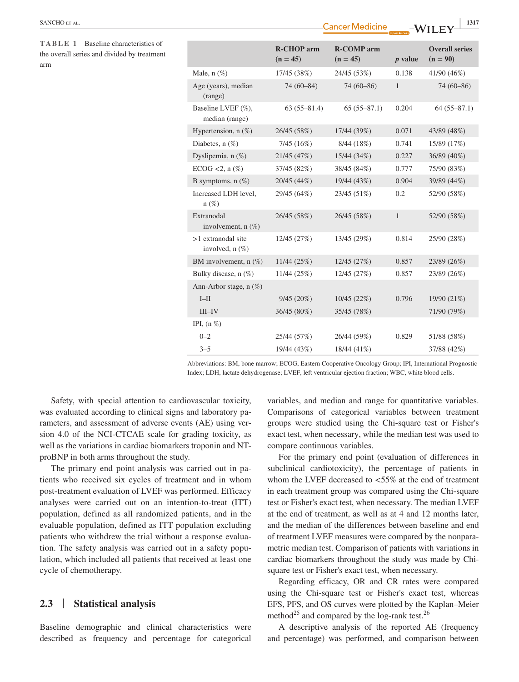| racteristics of<br>d by treatment |                                              | <b>R-CHOP</b> arm<br>$(n = 45)$ | <b>R-COMP</b> arm<br>$(n = 45)$ | $p$ value    | <b>Overall series</b><br>$(n = 90)$ |
|-----------------------------------|----------------------------------------------|---------------------------------|---------------------------------|--------------|-------------------------------------|
|                                   | Male, $n$ $(\%)$                             | 17/45 (38%)                     | 24/45 (53%)                     | 0.138        | 41/90 (46%)                         |
|                                   | Age (years), median<br>(range)               | $74(60-84)$                     | $74(60-86)$                     | $\mathbf{1}$ | $74(60-86)$                         |
|                                   | Baseline LVEF (%),<br>median (range)         | $63(55-81.4)$                   | $65(55-87.1)$                   | 0.204        | $64(55-87.1)$                       |
|                                   | Hypertension, $n$ (%)                        | 26/45 (58%)                     | 17/44 (39%)                     | 0.071        | 43/89 (48%)                         |
|                                   | Diabetes, $n$ $(\%)$                         | 7/45(16%)                       | 8/44(18%)                       | 0.741        | 15/89 (17%)                         |
|                                   | Dyslipemia, n (%)                            | 21/45 (47%)                     | 15/44 (34%)                     | 0.227        | 36/89 (40%)                         |
|                                   | $ECOG < 2$ , n $(\%)$                        | 37/45 (82%)                     | 38/45 (84%)                     | 0.777        | 75/90 (83%)                         |
|                                   | B symptoms, $n$ (%)                          | 20/45 (44%)                     | 19/44 (43%)                     | 0.904        | 39/89 (44%)                         |
|                                   | Increased LDH level,<br>$n(\%)$              | 29/45 (64%)                     | 23/45 (51%)                     | 0.2          | 52/90 (58%)                         |
|                                   | Extranodal<br>involvement, $n(\%)$           | 26/45 (58%)                     | 26/45 (58%)                     | $\mathbf{1}$ | 52/90 (58%)                         |
|                                   | $>1$ extranodal site<br>involved, $n$ $(\%)$ | 12/45 (27%)                     | 13/45 (29%)                     | 0.814        | 25/90 (28%)                         |
|                                   | BM involvement, $n$ (%)                      | 11/44 (25%)                     | 12/45 (27%)                     | 0.857        | 23/89 (26%)                         |
|                                   | Bulky disease, n (%)                         | 11/44 (25%)                     | 12/45 (27%)                     | 0.857        | 23/89 (26%)                         |
|                                   | Ann-Arbor stage, $n$ (%)                     |                                 |                                 |              |                                     |
|                                   | $I-H$                                        | 9/45(20%)                       | 10/45(22%)                      | 0.796        | 19/90 (21%)                         |
|                                   | $III$ -IV                                    | 36/45 (80%)                     | 35/45 (78%)                     |              | 71/90 (79%)                         |
|                                   | IPI, $(n \%)$                                |                                 |                                 |              |                                     |
|                                   | $0 - 2$                                      | 25/44 (57%)                     | 26/44 (59%)                     | 0.829        | 51/88 (58%)                         |
|                                   | $3 - 5$                                      | 19/44 (43%)                     | 18/44 (41%)                     |              | 37/88 (42%)                         |
|                                   |                                              |                                 |                                 |              |                                     |

Abbreviations: BM, bone marrow; ECOG, Eastern Cooperative Oncology Group; IPI, International Prognostic Index; LDH, lactate dehydrogenase; LVEF, left ventricular ejection fraction; WBC, white blood cells.

Safety, with special attention to cardiovascular toxicity, was evaluated according to clinical signs and laboratory parameters, and assessment of adverse events (AE) using version 4.0 of the NCI-CTCAE scale for grading toxicity, as well as the variations in cardiac biomarkers troponin and NTproBNP in both arms throughout the study.

The primary end point analysis was carried out in patients who received six cycles of treatment and in whom post-treatment evaluation of LVEF was performed. Efficacy analyses were carried out on an intention-to-treat (ITT) population, defined as all randomized patients, and in the evaluable population, defined as ITT population excluding patients who withdrew the trial without a response evaluation. The safety analysis was carried out in a safety population, which included all patients that received at least one cycle of chemotherapy.

# **2.3** | **Statistical analysis**

Baseline demographic and clinical characteristics were described as frequency and percentage for categorical

variables, and median and range for quantitative variables. Comparisons of categorical variables between treatment groups were studied using the Chi-square test or Fisher's exact test, when necessary, while the median test was used to compare continuous variables.

For the primary end point (evaluation of differences in subclinical cardiotoxicity), the percentage of patients in whom the LVEF decreased to <55% at the end of treatment in each treatment group was compared using the Chi-square test or Fisher's exact test, when necessary. The median LVEF at the end of treatment, as well as at 4 and 12 months later, and the median of the differences between baseline and end of treatment LVEF measures were compared by the nonparametric median test. Comparison of patients with variations in cardiac biomarkers throughout the study was made by Chisquare test or Fisher's exact test, when necessary.

Regarding efficacy, OR and CR rates were compared using the Chi-square test or Fisher's exact test, whereas EFS, PFS, and OS curves were plotted by the Kaplan–Meier method<sup>25</sup> and compared by the log-rank test.<sup>26</sup>

A descriptive analysis of the reported AE (frequency and percentage) was performed, and comparison between

**TABLE 1** Baseline cha the overall series and divide arm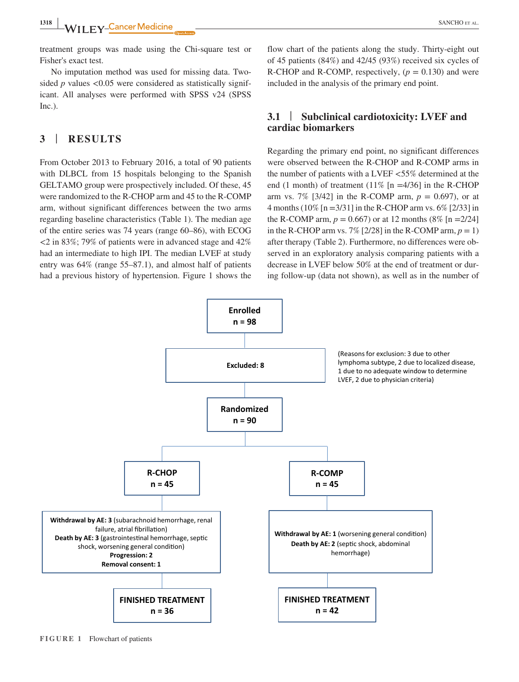treatment groups was made using the Chi-square test or Fisher's exact test.

No imputation method was used for missing data. Twosided  $p$  values  $\langle 0.05 \rangle$  were considered as statistically significant. All analyses were performed with SPSS v24 (SPSS Inc.).

# **3** | **RESULTS**

From October 2013 to February 2016, a total of 90 patients with DLBCL from 15 hospitals belonging to the Spanish GELTAMO group were prospectively included. Of these, 45 were randomized to the R-CHOP arm and 45 to the R-COMP arm, without significant differences between the two arms regarding baseline characteristics (Table 1). The median age of the entire series was 74 years (range 60–86), with ECOG <2 in 83%; 79% of patients were in advanced stage and 42% had an intermediate to high IPI. The median LVEF at study entry was 64% (range 55–87.1), and almost half of patients had a previous history of hypertension. Figure 1 shows the

flow chart of the patients along the study. Thirty-eight out of 45 patients (84%) and 42/45 (93%) received six cycles of R-CHOP and R-COMP, respectively,  $(p = 0.130)$  and were included in the analysis of the primary end point.

# **3.1** | **Subclinical cardiotoxicity: LVEF and cardiac biomarkers**

Regarding the primary end point, no significant differences were observed between the R-CHOP and R-COMP arms in the number of patients with a LVEF <55% determined at the end (1 month) of treatment (11%  $[n = 4/36]$  in the R-CHOP arm vs. 7% [3/42] in the R-COMP arm,  $p = 0.697$ , or at 4 months (10% [n =3/31] in the R-CHOP arm vs. 6% [2/33] in the R-COMP arm,  $p = 0.667$  or at 12 months (8% [n =2/24]) in the R-CHOP arm vs.  $7\%$  [2/28] in the R-COMP arm,  $p = 1$ ) after therapy (Table 2). Furthermore, no differences were observed in an exploratory analysis comparing patients with a decrease in LVEF below 50% at the end of treatment or during follow-up (data not shown), as well as in the number of



**FIGURE 1** Flowchart of patients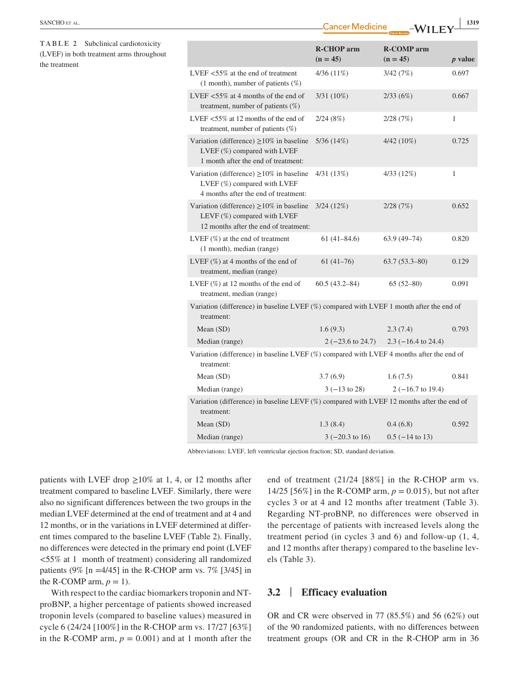|                                                                                                 |                                                                                                                                  |                                 | Open Access<br>, , <u>, , ,</u> , |              |  |
|-------------------------------------------------------------------------------------------------|----------------------------------------------------------------------------------------------------------------------------------|---------------------------------|-----------------------------------|--------------|--|
| TABLE 2 Subclinical cardiotoxicity<br>(LVEF) in both treatment arms throughout<br>the treatment |                                                                                                                                  | <b>R-CHOP</b> arm<br>$(n = 45)$ | <b>R-COMP</b> arm<br>$(n = 45)$   | $p$ value    |  |
|                                                                                                 | LVEF <55% at the end of treatment<br>(1 month), number of patients $(\%)$                                                        | $4/36(11\%)$                    | 3/42(7%)                          | 0.697        |  |
|                                                                                                 | LVEF $<$ 55% at 4 months of the end of<br>treatment, number of patients $(\%)$                                                   | 3/31 (10%)                      | 2/33(6%)                          | 0.667        |  |
|                                                                                                 | LVEF $<$ 55% at 12 months of the end of<br>treatment, number of patients (%)                                                     | 2/24(8%)                        | 2/28(7%)                          | $\mathbf{1}$ |  |
|                                                                                                 | Variation (difference) $\geq 10\%$ in baseline<br>LVEF (%) compared with LVEF<br>1 month after the end of treatment:             | 5/36(14%)                       | 4/42 (10%)                        | 0.725        |  |
|                                                                                                 | Variation (difference) $\geq$ 10% in baseline<br>LVEF (%) compared with LVEF<br>4 months after the end of treatment:             | 4/31(13%)                       | 4/33(12%)                         | $\mathbf{1}$ |  |
|                                                                                                 | Variation (difference) $\geq$ 10% in baseline 3/24 (12%)<br>LEVF (%) compared with LVEF<br>12 months after the end of treatment: |                                 | 2/28(7%)                          | 0.652        |  |
|                                                                                                 | LVEF $(\%)$ at the end of treatment<br>(1 month), median (range)                                                                 | $61(41-84.6)$                   | $63.9(49 - 74)$                   | 0.820        |  |
|                                                                                                 | LVEF $(\%)$ at 4 months of the end of<br>treatment, median (range)                                                               | $61(41-76)$                     | $63.7(53.3 - 80)$                 | 0.129        |  |
|                                                                                                 | LVEF $(\%)$ at 12 months of the end of<br>treatment, median (range)                                                              | $60.5(43.2 - 84)$               | $65(52-80)$                       | 0.091        |  |
|                                                                                                 | Variation (difference) in baseline LVEF (%) compared with LVEF 1 month after the end of<br>treatment:                            |                                 |                                   |              |  |
|                                                                                                 | Mean $(SD)$                                                                                                                      | 1.6(9.3)                        | 2.3(7.4)                          | 0.793        |  |
|                                                                                                 | Median (range)                                                                                                                   | $2(-23.6 \text{ to } 24.7)$     | $2.3$ (-16.4 to 24.4)             |              |  |
|                                                                                                 | Variation (difference) in baseline LVEF (%) compared with LVEF 4 months after the end of<br>treatment:                           |                                 |                                   |              |  |
|                                                                                                 | Mean (SD)                                                                                                                        | 3.7(6.9)                        | 1.6(7.5)                          | 0.841        |  |
|                                                                                                 | Median (range)                                                                                                                   | $3(-13 \text{ to } 28)$         | $2(-16.7 \text{ to } 19.4)$       |              |  |
|                                                                                                 | Variation (difference) in baseline LEVF (%) compared with LVEF 12 months after the end of<br>treatment:                          |                                 |                                   |              |  |
|                                                                                                 | Mean $(SD)$                                                                                                                      | 1.3(8.4)                        | 0.4(6.8)                          | 0.592        |  |
|                                                                                                 | Median (range)                                                                                                                   | $3(-20.3 \text{ to } 16)$       | $0.5$ ( $-14$ to 13)              |              |  |

**EXANCHO** ET AL. **1319**<br>**Cancer Medicine**  $-N\lambda$ <sup>[</sup> **I I**  $\lambda$ <sup>[</sup> **1319** 

Abbreviations: LVEF, left ventricular ejection fraction; SD, standard deviation.

patients with LVEF drop  $\geq 10\%$  at 1, 4, or 12 months after treatment compared to baseline LVEF. Similarly, there were also no significant differences between the two groups in the median LVEF determined at the end of treatment and at 4 and 12 months, or in the variations in LVEF determined at different times compared to the baseline LVEF (Table 2). Finally, no differences were detected in the primary end point (LVEF <55% at 1 month of treatment) considering all randomized patients (9% [n = 4/45] in the R-CHOP arm vs. 7% [3/45] in the R-COMP arm,  $p = 1$ ).

With respect to the cardiac biomarkers troponin and NTproBNP, a higher percentage of patients showed increased troponin levels (compared to baseline values) measured in cycle 6 (24/24 [100%] in the R-CHOP arm vs. 17/27 [63%] in the R-COMP arm,  $p = 0.001$ ) and at 1 month after the end of treatment (21/24 [88%] in the R-CHOP arm vs. 14/25 [56%] in the R-COMP arm,  $p = 0.015$ ), but not after cycles 3 or at 4 and 12 months after treatment (Table 3). Regarding NT-proBNP, no differences were observed in the percentage of patients with increased levels along the treatment period (in cycles 3 and 6) and follow-up (1, 4, and 12 months after therapy) compared to the baseline levels (Table 3).

## **3.2** | **Efficacy evaluation**

OR and CR were observed in 77 (85.5%) and 56 (62%) out of the 90 randomized patients, with no differences between treatment groups (OR and CR in the R-CHOP arm in 36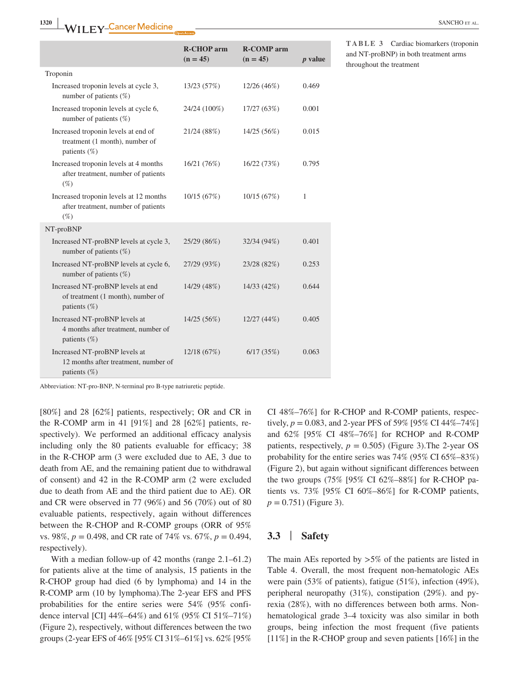|                                                                                           | <b>R-CHOP</b> arm<br>$(n = 45)$ | <b>R-COMP</b> arm<br>$(n = 45)$ | $p$ value |
|-------------------------------------------------------------------------------------------|---------------------------------|---------------------------------|-----------|
| Troponin                                                                                  |                                 |                                 |           |
| Increased troponin levels at cycle 3,<br>number of patients $(\%)$                        | 13/23(57%)                      | 12/26(46%)                      | 0.469     |
| Increased troponin levels at cycle 6,<br>number of patients $(\%)$                        | 24/24 (100%)                    | 17/27(63%)                      | 0.001     |
| Increased troponin levels at end of<br>treatment (1 month), number of<br>patients $(\%)$  | 21/24 (88%)                     | 14/25 (56%)                     | 0.015     |
| Increased troponin levels at 4 months<br>after treatment, number of patients<br>$(\%)$    | 16/21(76%)                      | 16/22(73%)                      | 0.795     |
| Increased troponin levels at 12 months<br>after treatment, number of patients<br>$(\%)$   | 10/15(67%)                      | 10/15(67%)                      | 1         |
| NT-proBNP                                                                                 |                                 |                                 |           |
| Increased NT-proBNP levels at cycle 3,<br>number of patients $(\%)$                       | 25/29 (86%)                     | 32/34 (94%)                     | 0.401     |
| Increased NT-proBNP levels at cycle 6,<br>number of patients $(\%)$                       | 27/29 (93%)                     | 23/28 (82%)                     | 0.253     |
| Increased NT-proBNP levels at end<br>of treatment (1 month), number of<br>patients $(\%)$ | 14/29 (48%)                     | 14/33 (42%)                     | 0.644     |
| Increased NT-proBNP levels at<br>4 months after treatment, number of<br>patients $(\%)$   | 14/25(56%)                      | 12/27(44%)                      | 0.405     |
| Increased NT-proBNP levels at<br>12 months after treatment, number of<br>patients $(\%)$  | 12/18(67%)                      | 6/17(35%)                       | 0.063     |

Abbreviation: NT-pro-BNP, N-terminal pro B-type natriuretic peptide.

[80%] and 28 [62%] patients, respectively; OR and CR in the R-COMP arm in 41 [91%] and 28 [62%] patients, respectively). We performed an additional efficacy analysis including only the 80 patients evaluable for efficacy; 38 in the R-CHOP arm (3 were excluded due to AE, 3 due to death from AE, and the remaining patient due to withdrawal of consent) and 42 in the R-COMP arm (2 were excluded due to death from AE and the third patient due to AE). OR and CR were observed in 77 (96%) and 56 (70%) out of 80 evaluable patients, respectively, again without differences between the R-CHOP and R-COMP groups (ORR of 95% vs. 98%, *p* = 0.498, and CR rate of 74% vs. 67%, *p* = 0.494, respectively).

With a median follow-up of 42 months (range 2.1–61.2) for patients alive at the time of analysis, 15 patients in the R-CHOP group had died (6 by lymphoma) and 14 in the R-COMP arm (10 by lymphoma).The 2-year EFS and PFS probabilities for the entire series were 54% (95% confidence interval [CI] 44%–64%) and 61% (95% CI 51%–71%) (Figure 2), respectively, without differences between the two groups (2-year EFS of 46% [95% CI 31%–61%] vs. 62% [95%

CI 48%–76%] for R-CHOP and R-COMP patients, respectively,  $p = 0.083$ , and 2-year PFS of 59% [95% CI 44%–74%] and 62% [95% CI 48%–76%] for RCHOP and R-COMP patients, respectively,  $p = 0.505$ ) (Figure 3). The 2-year OS probability for the entire series was 74% (95% CI 65%–83%) (Figure 2), but again without significant differences between the two groups (75% [95% CI 62%–88%] for R-CHOP patients vs. 73% [95% CI 60%–86%] for R-COMP patients,  $p = 0.751$ ) (Figure 3).

## **3.3** | **Safety**

The main AEs reported by  $>5\%$  of the patients are listed in Table 4. Overall, the most frequent non-hematologic AEs were pain (53% of patients), fatigue (51%), infection (49%), peripheral neuropathy (31%), constipation (29%). and pyrexia (28%), with no differences between both arms. Nonhematological grade 3–4 toxicity was also similar in both groups, being infection the most frequent (five patients [11%] in the R-CHOP group and seven patients [16%] in the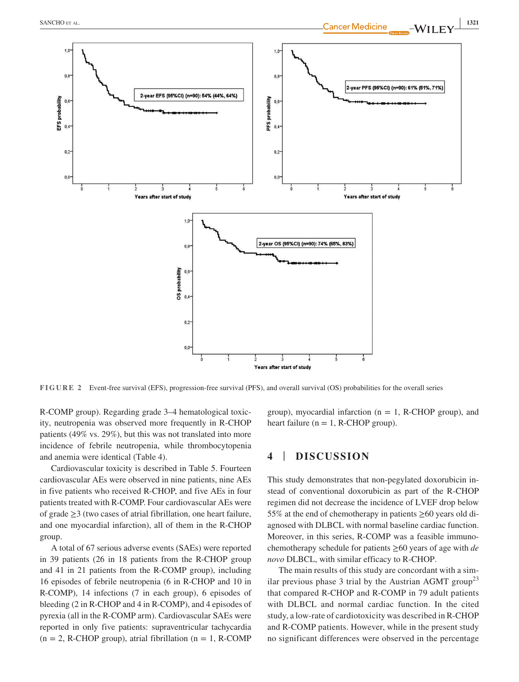



**FIGURE 2** Event-free survival (EFS), progression-free survival (PFS), and overall survival (OS) probabilities for the overall series

R-COMP group). Regarding grade 3–4 hematological toxicity, neutropenia was observed more frequently in R-CHOP patients (49% vs. 29%), but this was not translated into more incidence of febrile neutropenia, while thrombocytopenia and anemia were identical (Table 4).

Cardiovascular toxicity is described in Table 5. Fourteen cardiovascular AEs were observed in nine patients, nine AEs in five patients who received R-CHOP, and five AEs in four patients treated with R-COMP. Four cardiovascular AEs were of grade ≥3 (two cases of atrial fibrillation, one heart failure, and one myocardial infarction), all of them in the R-CHOP group.

A total of 67 serious adverse events (SAEs) were reported in 39 patients (26 in 18 patients from the R-CHOP group and 41 in 21 patients from the R-COMP group), including 16 episodes of febrile neutropenia (6 in R-CHOP and 10 in R-COMP), 14 infections (7 in each group), 6 episodes of bleeding (2 in R-CHOP and 4 in R-COMP), and 4 episodes of pyrexia (all in the R-COMP arm). Cardiovascular SAEs were reported in only five patients: supraventricular tachycardia  $(n = 2, R\text{-CHOP group})$ , atrial fibrillation  $(n = 1, R\text{-COMP}$ 

group), myocardial infarction ( $n = 1$ , R-CHOP group), and heart failure ( $n = 1$ , R-CHOP group).

# **4** | **DISCUSSION**

This study demonstrates that non-pegylated doxorubicin instead of conventional doxorubicin as part of the R-CHOP regimen did not decrease the incidence of LVEF drop below 55% at the end of chemotherapy in patients  $\geq 60$  years old diagnosed with DLBCL with normal baseline cardiac function. Moreover, in this series, R-COMP was a feasible immunochemotherapy schedule for patients ≥60 years of age with *de novo* DLBCL, with similar efficacy to R-CHOP.

The main results of this study are concordant with a similar previous phase 3 trial by the Austrian AGMT group<sup>23</sup> that compared R-CHOP and R-COMP in 79 adult patients with DLBCL and normal cardiac function. In the cited study, a low-rate of cardiotoxicity was described in R-CHOP and R-COMP patients. However, while in the present study no significant differences were observed in the percentage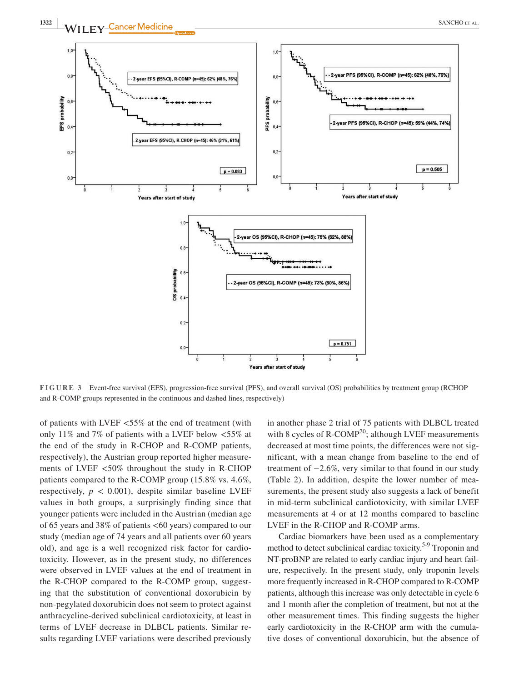

**FIGURE 3** Event-free survival (EFS), progression-free survival (PFS), and overall survival (OS) probabilities by treatment group (RCHOP and R-COMP groups represented in the continuous and dashed lines, respectively)

Years after start of study

of patients with LVEF <55% at the end of treatment (with only 11% and 7% of patients with a LVEF below <55% at the end of the study in R-CHOP and R-COMP patients, respectively), the Austrian group reported higher measurements of LVEF <50% throughout the study in R-CHOP patients compared to the R-COMP group (15.8% vs. 4.6%, respectively,  $p < 0.001$ ), despite similar baseline LVEF values in both groups, a surprisingly finding since that younger patients were included in the Austrian (median age of 65 years and 38% of patients <60 years) compared to our study (median age of 74 years and all patients over 60 years old), and age is a well recognized risk factor for cardiotoxicity. However, as in the present study, no differences were observed in LVEF values at the end of treatment in the R-CHOP compared to the R-COMP group, suggesting that the substitution of conventional doxorubicin by non-pegylated doxorubicin does not seem to protect against anthracycline-derived subclinical cardiotoxicity, at least in terms of LVEF decrease in DLBCL patients. Similar results regarding LVEF variations were described previously

 $0.0$ 

in another phase 2 trial of 75 patients with DLBCL treated with 8 cycles of  $R$ -COMP<sup>20</sup>; although LVEF measurements decreased at most time points, the differences were not significant, with a mean change from baseline to the end of treatment of −2.6%, very similar to that found in our study (Table 2). In addition, despite the lower number of measurements, the present study also suggests a lack of benefit in mid-term subclinical cardiotoxicity, with similar LVEF measurements at 4 or at 12 months compared to baseline LVEF in the R-CHOP and R-COMP arms.

Cardiac biomarkers have been used as a complementary method to detect subclinical cardiac toxicity.<sup>5-9</sup> Troponin and NT-proBNP are related to early cardiac injury and heart failure, respectively. In the present study, only troponin levels more frequently increased in R-CHOP compared to R-COMP patients, although this increase was only detectable in cycle 6 and 1 month after the completion of treatment, but not at the other measurement times. This finding suggests the higher early cardiotoxicity in the R-CHOP arm with the cumulative doses of conventional doxorubicin, but the absence of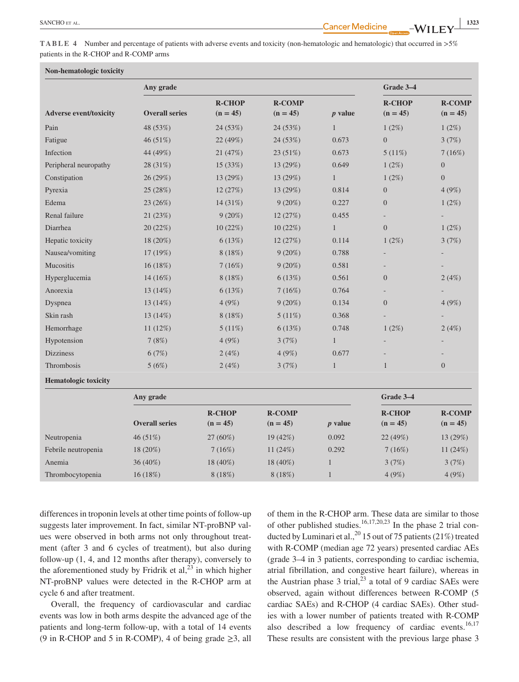**TABLE 4** Number and percentage of patients with adverse events and toxicity (non-hematologic and hematologic) that occurred in >5% patients in the R-CHOP and R-COMP arms

| Non-hematologic toxicity      |                       |                             |                             |                |                             |                             |
|-------------------------------|-----------------------|-----------------------------|-----------------------------|----------------|-----------------------------|-----------------------------|
| Any grade                     |                       |                             | Grade 3-4                   |                |                             |                             |
| <b>Adverse event/toxicity</b> | <b>Overall series</b> | <b>R-CHOP</b><br>$(n = 45)$ | <b>R-COMP</b><br>$(n = 45)$ | $p$ value      | <b>R-CHOP</b><br>$(n = 45)$ | <b>R-COMP</b><br>$(n = 45)$ |
| Pain                          | 48 (53%)              | 24 (53%)                    | 24(53%)                     | $\mathbf{1}$   | $1(2\%)$                    | $1(2\%)$                    |
| Fatigue                       | 46(51%)               | 22 (49%)                    | 24 (53%)                    | 0.673          | $\overline{0}$              | 3(7%)                       |
| Infection                     | 44 (49%)              | 21 (47%)                    | 23 (51%)                    | 0.673          | 5(11%)                      | 7(16%)                      |
| Peripheral neuropathy         | 28 (31%)              | 15(33%)                     | 13 (29%)                    | 0.649          | 1(2%)                       | $\overline{0}$              |
| Constipation                  | 26(29%)               | 13 (29%)                    | 13 (29%)                    | $\mathbf{1}$   | 1(2%)                       | $\overline{0}$              |
| Pyrexia                       | 25 (28%)              | 12(27%)                     | 13 (29%)                    | 0.814          | $\mathbf{0}$                | 4(9%)                       |
| Edema                         | 23(26%)               | 14 (31%)                    | $9(20\%)$                   | 0.227          | $\mathbf{0}$                | $1(2\%)$                    |
| Renal failure                 | 21(23%)               | $9(20\%)$                   | 12(27%)                     | 0.455          | $\overline{\phantom{0}}$    |                             |
| Diarrhea                      | 20(22%)               | 10 (22%)                    | 10(22%)                     | $\mathbf{1}$   | $\overline{0}$              | 1(2%)                       |
| Hepatic toxicity              | 18 (20%)              | 6(13%)                      | 12 (27%)                    | 0.114          | $1(2\%)$                    | 3(7%)                       |
| Nausea/vomiting               | 17 (19%)              | 8(18%)                      | $9(20\%)$                   | 0.788          |                             |                             |
| Mucositis                     | 16(18%)               | 7(16%)                      | $9(20\%)$                   | 0.581          |                             |                             |
| Hyperglucemia                 | $14(16\%)$            | 8(18%)                      | 6(13%)                      | 0.561          | $\boldsymbol{0}$            | 2(4%)                       |
| Anorexia                      | 13 (14%)              | 6(13%)                      | 7(16%)                      | 0.764          |                             |                             |
| Dyspnea                       | 13 (14%)              | 4(9%)                       | $9(20\%)$                   | 0.134          | $\overline{0}$              | 4(9%)                       |
| Skin rash                     | 13 (14%)              | 8 (18%)                     | $5(11\%)$                   | 0.368          |                             |                             |
| Hemorrhage                    | 11(12%)               | $5(11\%)$                   | 6(13%)                      | 0.748          | $1(2\%)$                    | 2(4%)                       |
| Hypotension                   | 7(8%)                 | 4(9%)                       | 3(7%)                       | $\mathbf{1}$   |                             |                             |
| <b>Dizziness</b>              | 6(7%)                 | 2(4%)                       | 4(9%)                       | 0.677          |                             |                             |
| Thrombosis                    | 5(6%)                 | 2(4%)                       | 3(7%)                       | $\mathbf{1}$   | $\mathbf{1}$                | $\overline{0}$              |
| <b>Hematologic toxicity</b>   |                       |                             |                             |                |                             |                             |
|                               | Any grade             |                             |                             |                | Grade 3-4                   |                             |
|                               | <b>Overall series</b> | <b>R-CHOP</b><br>$(n = 45)$ | <b>R-COMP</b><br>$(n = 45)$ | <i>p</i> value | <b>R-CHOP</b><br>$(n = 45)$ | <b>R-COMP</b><br>$(n = 45)$ |
| Neutropenia                   | 46 (51%)              | 27 (60%)                    | 19(42%)                     | 0.092          | 22(49%)                     | 13 (29%)                    |
| Febrile neutropenia           | 18 (20%)              | 7(16%)                      | 11(24%)                     | 0.292          | 7(16%)                      | 11 $(24%)$                  |
| Anemia                        | 36 (40%)              | 18 (40%)                    | 18 (40%)                    | $\mathbf{1}$   | 3(7%)                       | 3(7%)                       |
| Thrombocytopenia              | 16(18%)               | 8 (18%)                     | 8 (18%)                     | $\mathbf{1}$   | 4(9%)                       | 4(9%)                       |

differences in troponin levels at other time points of follow-up suggests later improvement. In fact, similar NT-proBNP values were observed in both arms not only throughout treatment (after 3 and 6 cycles of treatment), but also during follow-up (1, 4, and 12 months after therapy), conversely to the aforementioned study by Fridrik et al, $^{23}$  in which higher NT-proBNP values were detected in the R-CHOP arm at cycle 6 and after treatment.

Overall, the frequency of cardiovascular and cardiac events was low in both arms despite the advanced age of the patients and long-term follow-up, with a total of 14 events (9 in R-CHOP and 5 in R-COMP), 4 of being grade  $\geq$ 3, all

of them in the R-CHOP arm. These data are similar to those of other published studies.<sup>16,17,20,23</sup> In the phase 2 trial conducted by Luminari et al.,<sup>20</sup> 15 out of 75 patients (21%) treated with R-COMP (median age 72 years) presented cardiac AEs (grade 3–4 in 3 patients, corresponding to cardiac ischemia, atrial fibrillation, and congestive heart failure), whereas in the Austrian phase 3 trial, $^{23}$  a total of 9 cardiac SAEs were observed, again without differences between R-COMP (5 cardiac SAEs) and R-CHOP (4 cardiac SAEs). Other studies with a lower number of patients treated with R-COMP also described a low frequency of cardiac events. $16,17$ These results are consistent with the previous large phase 3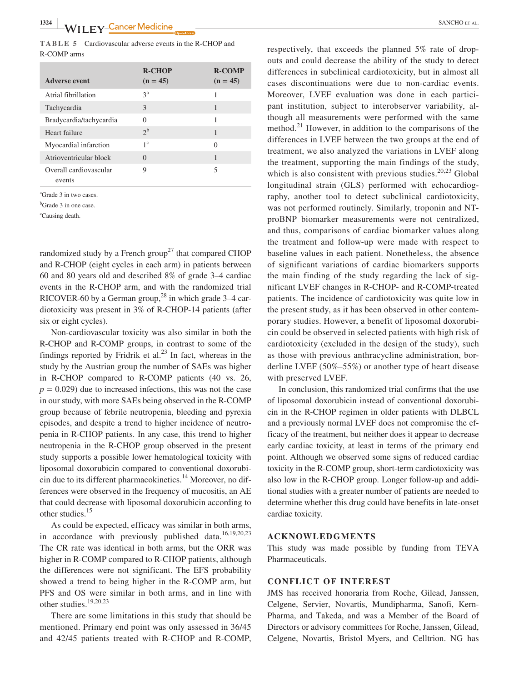**TABLE 5** Cardiovascular adverse events in the R-CHOP and R-COMP arms

| Adverse event                    | <b>R-CHOP</b><br>$(n = 45)$ | <b>R-COMP</b><br>$(n = 45)$ |
|----------------------------------|-----------------------------|-----------------------------|
| Atrial fibrillation              | $3^a$                       | 1                           |
| Tachycardia                      | 3                           | 1                           |
| Bradycardia/tachycardia          | $\Omega$                    | 1                           |
| Heart failure                    | 2 <sup>b</sup>              | 1                           |
| Myocardial infarction            | $1^{\circ}$                 | $\Omega$                    |
| Atrioventricular block           | $\Omega$                    | 1                           |
| Overall cardiovascular<br>events | 9                           | 5                           |

a Grade 3 in two cases.

<sup>b</sup>Grade 3 in one case.

<sup>c</sup>Causing death.

randomized study by a French group<sup>27</sup> that compared CHOP and R-CHOP (eight cycles in each arm) in patients between 60 and 80 years old and described 8% of grade 3–4 cardiac events in the R-CHOP arm, and with the randomized trial RICOVER-60 by a German group,<sup>28</sup> in which grade  $3-4$  cardiotoxicity was present in 3% of R-CHOP-14 patients (after six or eight cycles).

Non-cardiovascular toxicity was also similar in both the R-CHOP and R-COMP groups, in contrast to some of the findings reported by Fridrik et al. $^{23}$  In fact, whereas in the study by the Austrian group the number of SAEs was higher in R-CHOP compared to R-COMP patients (40 vs. 26,  $p = 0.029$ ) due to increased infections, this was not the case in our study, with more SAEs being observed in the R-COMP group because of febrile neutropenia, bleeding and pyrexia episodes, and despite a trend to higher incidence of neutropenia in R-CHOP patients. In any case, this trend to higher neutropenia in the R-CHOP group observed in the present study supports a possible lower hematological toxicity with liposomal doxorubicin compared to conventional doxorubicin due to its different pharmacokinetics.<sup>14</sup> Moreover, no differences were observed in the frequency of mucositis, an AE that could decrease with liposomal doxorubicin according to other studies.<sup>15</sup>

As could be expected, efficacy was similar in both arms, in accordance with previously published data.<sup>16,19,20,23</sup> The CR rate was identical in both arms, but the ORR was higher in R-COMP compared to R-CHOP patients, although the differences were not significant. The EFS probability showed a trend to being higher in the R-COMP arm, but PFS and OS were similar in both arms, and in line with other studies.19,20,23

There are some limitations in this study that should be mentioned. Primary end point was only assessed in 36/45 and 42/45 patients treated with R-CHOP and R-COMP,

respectively, that exceeds the planned 5% rate of dropouts and could decrease the ability of the study to detect differences in subclinical cardiotoxicity, but in almost all cases discontinuations were due to non-cardiac events. Moreover, LVEF evaluation was done in each participant institution, subject to interobserver variability, although all measurements were performed with the same method.<sup>21</sup> However, in addition to the comparisons of the differences in LVEF between the two groups at the end of treatment, we also analyzed the variations in LVEF along the treatment, supporting the main findings of the study, which is also consistent with previous studies. $20,23$  Global longitudinal strain (GLS) performed with echocardiography, another tool to detect subclinical cardiotoxicity, was not performed routinely. Similarly, troponin and NTproBNP biomarker measurements were not centralized, and thus, comparisons of cardiac biomarker values along the treatment and follow-up were made with respect to baseline values in each patient. Nonetheless, the absence of significant variations of cardiac biomarkers supports the main finding of the study regarding the lack of significant LVEF changes in R-CHOP- and R-COMP-treated patients. The incidence of cardiotoxicity was quite low in the present study, as it has been observed in other contemporary studies. However, a benefit of liposomal doxorubicin could be observed in selected patients with high risk of cardiotoxicity (excluded in the design of the study), such as those with previous anthracycline administration, borderline LVEF (50%–55%) or another type of heart disease with preserved LVEF.

In conclusion, this randomized trial confirms that the use of liposomal doxorubicin instead of conventional doxorubicin in the R-CHOP regimen in older patients with DLBCL and a previously normal LVEF does not compromise the efficacy of the treatment, but neither does it appear to decrease early cardiac toxicity, at least in terms of the primary end point. Although we observed some signs of reduced cardiac toxicity in the R-COMP group, short-term cardiotoxicity was also low in the R-CHOP group. Longer follow-up and additional studies with a greater number of patients are needed to determine whether this drug could have benefits in late-onset cardiac toxicity.

#### **ACKNOWLEDGMENTS**

This study was made possible by funding from TEVA Pharmaceuticals.

#### **CONFLICT OF INTEREST**

JMS has received honoraria from Roche, Gilead, Janssen, Celgene, Servier, Novartis, Mundipharma, Sanofi, Kern-Pharma, and Takeda, and was a Member of the Board of Directors or advisory committees for Roche, Janssen, Gilead, Celgene, Novartis, Bristol Myers, and Celltrion. NG has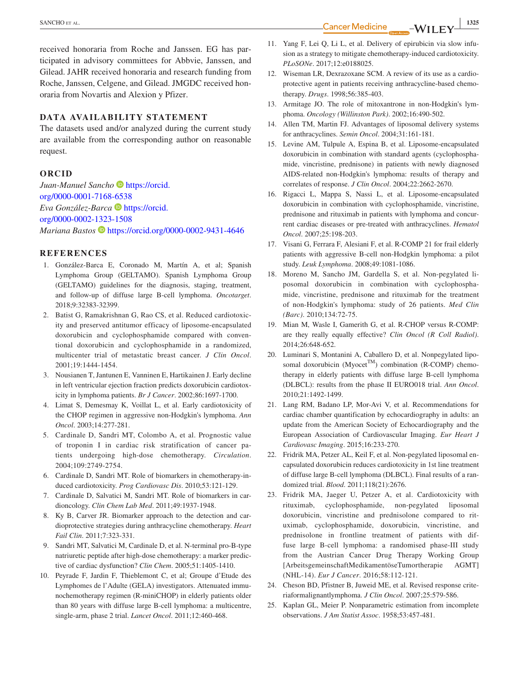**EXANCHO** ET AL. **1325**<br>**Cancer Medicine**  $-WII$  FV  $\frac{1325}{2}$ 

received honoraria from Roche and Janssen. EG has participated in advisory committees for Abbvie, Janssen, and Gilead. JAHR received honoraria and research funding from Roche, Janssen, Celgene, and Gilead. JMGDC received honoraria from Novartis and Alexion y Pfizer.

#### **DATA AVAILABILITY STATEMENT**

The datasets used and/or analyzed during the current study are available from the corresponding author on reasonable request.

### **ORCID**

*Juan-Manuel Sancho* [https://orcid.](https://orcid.org/0000-0001-7168-6538) [org/0000-0001-7168-6538](https://orcid.org/0000-0001-7168-6538) *Eva González-Barca* **[https://orcid.](https://orcid.org/0000-0002-1323-1508)** [org/0000-0002-1323-1508](https://orcid.org/0000-0002-1323-1508) *Mariana Bastos* <https://orcid.org/0000-0002-9431-4646>

#### **REFERENCES**

- 1. González-Barca E, Coronado M, Martín A, et al; Spanish Lymphoma Group (GELTAMO). Spanish Lymphoma Group (GELTAMO) guidelines for the diagnosis, staging, treatment, and follow-up of diffuse large B-cell lymphoma. *Oncotarget*. 2018;9:32383-32399.
- 2. Batist G, Ramakrishnan G, Rao CS, et al. Reduced cardiotoxicity and preserved antitumor efficacy of liposome-encapsulated doxorubicin and cyclophosphamide compared with conventional doxorubicin and cyclophosphamide in a randomized, multicenter trial of metastatic breast cancer. *J Clin Oncol*. 2001;19:1444-1454.
- 3. Nousianen T, Jantunen E, Vanninen E, Hartikainen J. Early decline in left ventricular ejection fraction predicts doxorubicin cardiotoxicity in lymphoma patients. *Br J Cancer*. 2002;86:1697-1700.
- 4. Limat S, Demesmay K, Voillat L, et al. Early cardiotoxicity of the CHOP regimen in aggressive non-Hodgkin's lymphoma. *Ann Oncol*. 2003;14:277-281.
- 5. Cardinale D, Sandri MT, Colombo A, et al. Prognostic value of troponin I in cardiac risk stratification of cancer patients undergoing high-dose chemotherapy. *Circulation*. 2004;109:2749-2754.
- 6. Cardinale D, Sandri MT. Role of biomarkers in chemotherapy-induced cardiotoxicity. *Prog Cardiovasc Dis*. 2010;53:121-129.
- 7. Cardinale D, Salvatici M, Sandri MT. Role of biomarkers in cardioncology. *Clin Chem Lab Med*. 2011;49:1937-1948.
- 8. Ky B, Carver JR. Biomarker approach to the detection and cardioprotective strategies during anthracycline chemotherapy. *Heart Fail Clin*. 2011;7:323-331.
- 9. Sandri MT, Salvatici M, Cardinale D, et al. N-terminal pro-B-type natriuretic peptide after high-dose chemotherapy: a marker predictive of cardiac dysfunction? *Clin Chem*. 2005;51:1405-1410.
- 10. Peyrade F, Jardin F, Thieblemont C, et al; Groupe d'Etude des Lymphomes de l'Adulte (GELA) investigators. Attenuated immunochemotherapy regimen (R-miniCHOP) in elderly patients older than 80 years with diffuse large B-cell lymphoma: a multicentre, single-arm, phase 2 trial. *Lancet Oncol*. 2011;12:460-468.
- 11. Yang F, Lei Q, Li L, et al. Delivery of epirubicin via slow infusion as a strategy to mitigate chemotherapy-induced cardiotoxicity. *PLoSONe*. 2017;12:e0188025.
- 12. Wiseman LR, Dexrazoxane SCM. A review of its use as a cardioprotective agent in patients receiving anthracycline-based chemotherapy. *Drugs*. 1998;56:385-403.
- 13. Armitage JO. The role of mitoxantrone in non-Hodgkin's lymphoma. *Oncology (Willinston Park)*. 2002;16:490-502.
- 14. Allen TM, Martin FJ. Advantages of liposomal delivery systems for anthracyclines. *Semin Oncol*. 2004;31:161-181.
- 15. Levine AM, Tulpule A, Espina B, et al. Liposome-encapsulated doxorubicin in combination with standard agents (cyclophosphamide, vincristine, prednisone) in patients with newly diagnosed AIDS-related non-Hodgkin's lymphoma: results of therapy and correlates of response. *J Clin Oncol*. 2004;22:2662-2670.
- 16. Rigacci L, Mappa S, Nassi L, et al. Liposome-encapsulated doxorubicin in combination with cyclophosphamide, vincristine, prednisone and rituximab in patients with lymphoma and concurrent cardiac diseases or pre-treated with anthracyclines. *Hematol Oncol*. 2007;25:198-203.
- 17. Visani G, Ferrara F, Alesiani F, et al. R-COMP 21 for frail elderly patients with aggressive B-cell non-Hodgkin lymphoma: a pilot study. *Leuk Lymphoma*. 2008;49:1081-1086.
- 18. Moreno M, Sancho JM, Gardella S, et al. Non-pegylated liposomal doxorubicin in combination with cyclophosphamide, vincristine, prednisone and rituximab for the treatment of non-Hodgkin's lymphoma: study of 26 patients. *Med Clin (Barc)*. 2010;134:72-75.
- 19. Mian M, Wasle I, Gamerith G, et al. R-CHOP versus R-COMP: are they really equally effective? *Clin Oncol (R Coll Radiol)*. 2014;26:648-652.
- 20. Luminari S, Montanini A, Caballero D, et al. Nonpegylated liposomal doxorubicin (Myocet<sup>TM</sup>) combination (R-COMP) chemotherapy in elderly patients with diffuse large B-cell lymphoma (DLBCL): results from the phase II EURO018 trial. *Ann Oncol*. 2010;21:1492-1499.
- 21. Lang RM, Badano LP, Mor-Avi V, et al. Recommendations for cardiac chamber quantification by echocardiography in adults: an update from the American Society of Echocardiography and the European Association of Cardiovascular Imaging. *Eur Heart J Cardiovasc Imaging*. 2015;16:233-270.
- 22. Fridrik MA, Petzer AL, Keil F, et al. Non-pegylated liposomal encapsulated doxorubicin reduces cardiotoxicity in 1st line treatment of diffuse large B-cell lymphoma (DLBCL). Final results of a randomized trial. *Blood*. 2011;118(21):2676.
- 23. Fridrik MA, Jaeger U, Petzer A, et al. Cardiotoxicity with rituximab, cyclophosphamide, non-pegylated liposomal doxorubicin, vincristine and prednisolone compared to rituximab, cyclophosphamide, doxorubicin, vincristine, and prednisolone in frontline treatment of patients with diffuse large B-cell lymphoma: a randomised phase-III study from the Austrian Cancer Drug Therapy Working Group [ArbeitsgemeinschaftMedikamentöseTumortherapie AGMT] (NHL-14). *Eur J Cancer*. 2016;58:112-121.
- 24. Cheson BD, Pfistner B, Juweid ME, et al. Revised response criteriaformalignantlymphoma. *J Clin Oncol*. 2007;25:579-586.
- 25. Kaplan GL, Meier P. Nonparametric estimation from incomplete observations. *J Am Statist Assoc*. 1958;53:457-481.